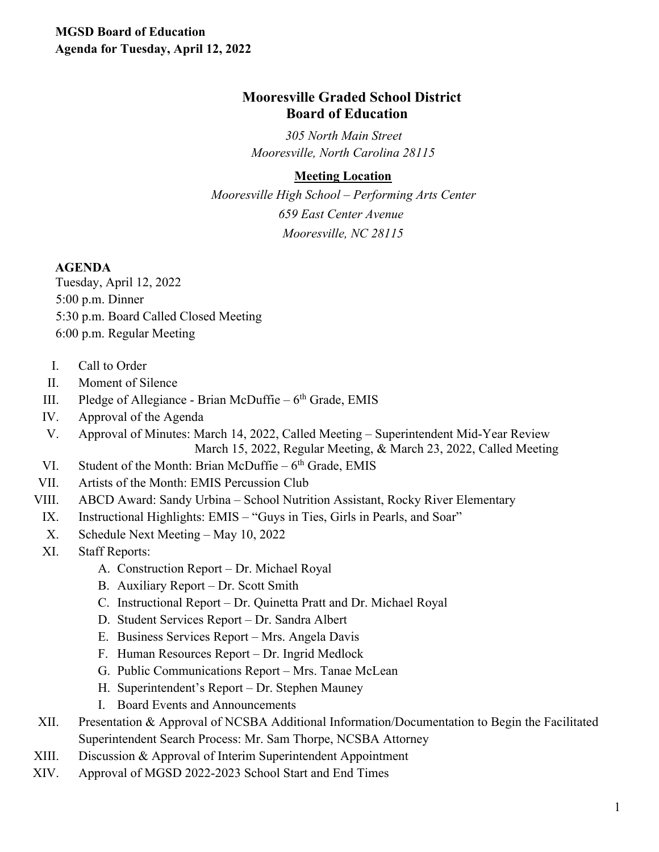# **Mooresville Graded School District Board of Education**

*305 North Main Street Mooresville, North Carolina 28115* 

## **Meeting Location**

*Mooresville High School – Performing Arts Center 659 East Center Avenue Mooresville, NC 28115*

#### **AGENDA**

Tuesday, April 12, 2022 5:00 p.m. Dinner 5:30 p.m. Board Called Closed Meeting 6:00 p.m. Regular Meeting

- I. Call to Order
- II. Moment of Silence
- III. Pledge of Allegiance Brian McDuffie  $6<sup>th</sup>$  Grade, EMIS
- IV. Approval of the Agenda
- V. Approval of Minutes: March 14, 2022, Called Meeting Superintendent Mid-Year Review March 15, 2022, Regular Meeting, & March 23, 2022, Called Meeting
- VI. Student of the Month: Brian McDuffie  $6<sup>th</sup>$  Grade, EMIS
- VII. Artists of the Month: EMIS Percussion Club
- VIII. ABCD Award: Sandy Urbina School Nutrition Assistant, Rocky River Elementary
- IX. Instructional Highlights: EMIS "Guys in Ties, Girls in Pearls, and Soar"
- X. Schedule Next Meeting May 10, 2022
- XI. Staff Reports:
	- A. Construction Report Dr. Michael Royal
	- B. Auxiliary Report Dr. Scott Smith
	- C. Instructional Report Dr. Quinetta Pratt and Dr. Michael Royal
	- D. Student Services Report Dr. Sandra Albert
	- E. Business Services Report Mrs. Angela Davis
	- F. Human Resources Report Dr. Ingrid Medlock
	- G. Public Communications Report Mrs. Tanae McLean
	- H. Superintendent's Report Dr. Stephen Mauney
	- I. Board Events and Announcements
- XII. Presentation & Approval of NCSBA Additional Information/Documentation to Begin the Facilitated Superintendent Search Process: Mr. Sam Thorpe, NCSBA Attorney
- XIII. Discussion & Approval of Interim Superintendent Appointment
- XIV. Approval of MGSD 2022-2023 School Start and End Times